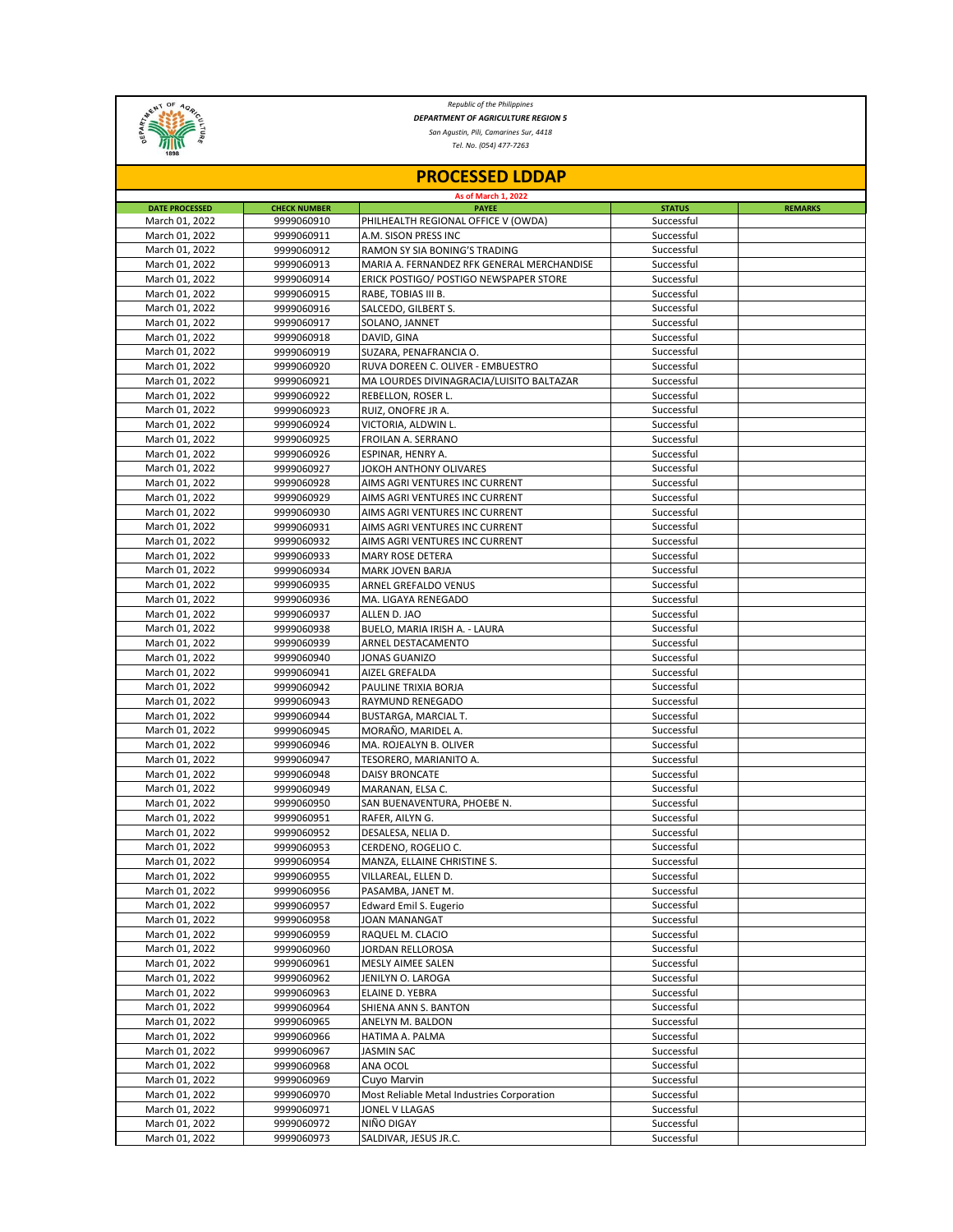

*Republic of the Philippines DEPARTMENT OF AGRICULTURE REGION 5*

*San Agustin, Pili, Camarines Sur, 4418*

*Tel. No. (054) 477-7263*

| <b>PROCESSED LDDAP</b><br>As of March 1, 2022 |                          |                                            |                          |  |  |  |  |
|-----------------------------------------------|--------------------------|--------------------------------------------|--------------------------|--|--|--|--|
|                                               |                          |                                            |                          |  |  |  |  |
| March 01, 2022                                | 9999060910               | PHILHEALTH REGIONAL OFFICE V (OWDA)        | Successful               |  |  |  |  |
| March 01, 2022                                | 9999060911               | A.M. SISON PRESS INC                       | Successful               |  |  |  |  |
| March 01, 2022                                | 9999060912               | RAMON SY SIA BONING'S TRADING              | Successful               |  |  |  |  |
| March 01, 2022                                | 9999060913               | MARIA A. FERNANDEZ RFK GENERAL MERCHANDISE | Successful               |  |  |  |  |
| March 01, 2022                                | 9999060914               | ERICK POSTIGO/ POSTIGO NEWSPAPER STORE     | Successful               |  |  |  |  |
| March 01, 2022                                | 9999060915               | RABE, TOBIAS III B.                        | Successful               |  |  |  |  |
| March 01, 2022<br>March 01, 2022              | 9999060916<br>9999060917 | SALCEDO, GILBERT S.<br>SOLANO, JANNET      | Successful<br>Successful |  |  |  |  |
| March 01, 2022                                | 9999060918               | DAVID, GINA                                | Successful               |  |  |  |  |
| March 01, 2022                                | 9999060919               | SUZARA, PENAFRANCIA O.                     | Successful               |  |  |  |  |
| March 01, 2022                                | 9999060920               | RUVA DOREEN C. OLIVER - EMBUESTRO          | Successful               |  |  |  |  |
| March 01, 2022                                | 9999060921               | MA LOURDES DIVINAGRACIA/LUISITO BALTAZAR   | Successful               |  |  |  |  |
| March 01, 2022                                | 9999060922               | REBELLON, ROSER L.                         | Successful               |  |  |  |  |
| March 01, 2022                                | 9999060923               | RUIZ, ONOFRE JR A.                         | Successful               |  |  |  |  |
| March 01, 2022                                | 9999060924               | VICTORIA, ALDWIN L.                        | Successful               |  |  |  |  |
| March 01, 2022                                | 9999060925               | FROILAN A. SERRANO                         | Successful               |  |  |  |  |
| March 01, 2022                                | 9999060926               | ESPINAR, HENRY A.                          | Successful               |  |  |  |  |
| March 01, 2022                                | 9999060927               | JOKOH ANTHONY OLIVARES                     | Successful               |  |  |  |  |
| March 01, 2022                                | 9999060928               | AIMS AGRI VENTURES INC CURRENT             | Successful               |  |  |  |  |
| March 01, 2022                                | 9999060929               | AIMS AGRI VENTURES INC CURRENT             | Successful               |  |  |  |  |
| March 01, 2022                                | 9999060930               | AIMS AGRI VENTURES INC CURRENT             | Successful               |  |  |  |  |
| March 01, 2022                                | 9999060931               | AIMS AGRI VENTURES INC CURRENT             | Successful               |  |  |  |  |
| March 01. 2022                                | 9999060932               | AIMS AGRI VENTURES INC CURRENT             | Successful               |  |  |  |  |
| March 01, 2022                                | 9999060933               | MARY ROSE DETERA                           | Successful               |  |  |  |  |
| March 01, 2022                                | 9999060934               | MARK JOVEN BARJA                           | Successful               |  |  |  |  |
| March 01, 2022                                | 9999060935               | ARNEL GREFALDO VENUS                       | Successful               |  |  |  |  |
| March 01, 2022                                | 9999060936               | MA. LIGAYA RENEGADO                        | Successful               |  |  |  |  |
| March 01, 2022                                | 9999060937               | ALLEN D. JAO                               | Successful               |  |  |  |  |
| March 01, 2022                                | 9999060938               | BUELO, MARIA IRISH A. - LAURA              | Successful               |  |  |  |  |
| March 01, 2022                                | 9999060939               | ARNEL DESTACAMENTO                         | Successful               |  |  |  |  |
| March 01, 2022                                | 9999060940               | JONAS GUANIZO                              | Successful               |  |  |  |  |
| March 01, 2022                                | 9999060941               | AIZEL GREFALDA                             | Successful               |  |  |  |  |
| March 01, 2022                                | 9999060942               | PAULINE TRIXIA BORJA                       | Successful               |  |  |  |  |
| March 01, 2022                                | 9999060943               | RAYMUND RENEGADO                           | Successful               |  |  |  |  |
| March 01, 2022<br>March 01, 2022              | 9999060944<br>9999060945 | BUSTARGA, MARCIAL T.<br>MORAÑO, MARIDEL A. | Successful<br>Successful |  |  |  |  |
| March 01, 2022                                | 9999060946               | MA. ROJEALYN B. OLIVER                     | Successful               |  |  |  |  |
| March 01, 2022                                | 9999060947               | TESORERO, MARIANITO A.                     | Successful               |  |  |  |  |
| March 01, 2022                                | 9999060948               | <b>DAISY BRONCATE</b>                      | Successful               |  |  |  |  |
| March 01, 2022                                | 9999060949               | MARANAN, ELSA C.                           | Successful               |  |  |  |  |
| March 01, 2022                                | 9999060950               | SAN BUENAVENTURA, PHOEBE N.                | Successful               |  |  |  |  |
| March 01, 2022                                | 9999060951               | RAFER, AILYN G.                            | Successful               |  |  |  |  |
| March 01, 2022                                | 9999060952               | DESALESA, NELIA D.                         | Successful               |  |  |  |  |
| March 01, 2022                                | 9999060953               | CERDENO, ROGELIO C.                        | Successful               |  |  |  |  |
| March 01, 2022                                | 9999060954               | MANZA, ELLAINE CHRISTINE S.                | Successful               |  |  |  |  |
| March 01, 2022                                | 9999060955               | VILLAREAL, ELLEN D.                        | Successful               |  |  |  |  |
| March 01, 2022                                | 9999060956               | PASAMBA, JANET M.                          | Successful               |  |  |  |  |
| March 01, 2022                                | 9999060957               | Edward Emil S. Eugerio                     | Successful               |  |  |  |  |
| March 01, 2022                                | 9999060958               | JOAN MANANGAT                              | Successful               |  |  |  |  |
| March 01, 2022                                | 9999060959               | RAQUEL M. CLACIO                           | Successful               |  |  |  |  |
| March 01, 2022                                | 9999060960               | JORDAN RELLOROSA                           | Successful               |  |  |  |  |
| March 01, 2022                                | 9999060961               | MESLY AIMEE SALEN                          | Successful               |  |  |  |  |
| March 01, 2022                                | 9999060962               | JENILYN O. LAROGA                          | Successful               |  |  |  |  |
| March 01, 2022                                | 9999060963               | ELAINE D. YEBRA                            | Successful               |  |  |  |  |
| March 01, 2022                                | 9999060964               | SHIENA ANN S. BANTON                       | Successful               |  |  |  |  |
| March 01, 2022                                | 9999060965               | ANELYN M. BALDON                           | Successful               |  |  |  |  |
| March 01, 2022                                | 9999060966               | HATIMA A. PALMA                            | Successful               |  |  |  |  |
| March 01, 2022                                | 9999060967               | JASMIN SAC                                 | Successful               |  |  |  |  |
| March 01, 2022                                | 9999060968               | ANA OCOL                                   | Successful               |  |  |  |  |
| March 01, 2022                                | 9999060969               | Cuyo Marvin                                | Successful               |  |  |  |  |
| March 01, 2022                                | 9999060970               | Most Reliable Metal Industries Corporation | Successful               |  |  |  |  |
| March 01, 2022<br>March 01, 2022              | 9999060971<br>9999060972 | JONEL V LLAGAS<br>NIÑO DIGAY               | Successful<br>Successful |  |  |  |  |
| March 01, 2022                                | 9999060973               | SALDIVAR, JESUS JR.C.                      | Successful               |  |  |  |  |
|                                               |                          |                                            |                          |  |  |  |  |